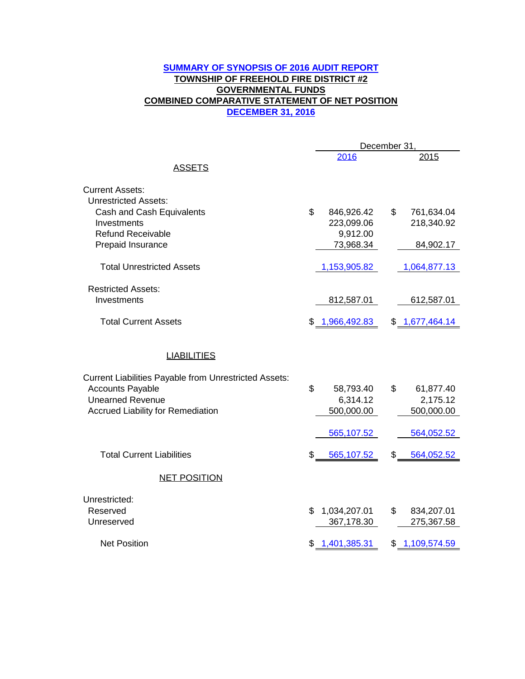## **DECEMBER 31, 2016 SUMMARY OF SYNOPSIS OF 2016 AUDIT REPORT TOWNSHIP OF FREEHOLD FIRE DISTRICT #2 GOVERNMENTAL FUNDS COMBINED COMPARATIVE STATEMENT OF NET POSITION**

|                                                              | December 31, |                |                |                |  |
|--------------------------------------------------------------|--------------|----------------|----------------|----------------|--|
| <b>ASSETS</b>                                                |              | 2016           |                | 2015           |  |
|                                                              |              |                |                |                |  |
| <b>Current Assets:</b>                                       |              |                |                |                |  |
| <b>Unrestricted Assets:</b>                                  |              |                |                |                |  |
| Cash and Cash Equivalents                                    | \$           | 846,926.42     | $\mathfrak{L}$ | 761,634.04     |  |
| Investments                                                  |              | 223,099.06     |                | 218,340.92     |  |
| <b>Refund Receivable</b>                                     |              | 9,912.00       |                |                |  |
| Prepaid Insurance                                            |              | 73,968.34      |                | 84,902.17      |  |
| <b>Total Unrestricted Assets</b>                             |              | 1,153,905.82   |                | 1,064,877.13   |  |
| <b>Restricted Assets:</b>                                    |              |                |                |                |  |
| Investments                                                  |              | 812,587.01     |                | 612,587.01     |  |
|                                                              |              |                |                |                |  |
| <b>Total Current Assets</b>                                  |              | \$1,966,492.83 |                | \$1,677,464.14 |  |
|                                                              |              |                |                |                |  |
| <b>LIABILITIES</b>                                           |              |                |                |                |  |
| <b>Current Liabilities Payable from Unrestricted Assets:</b> |              |                |                |                |  |
| <b>Accounts Payable</b>                                      | \$           | 58,793.40      | \$             | 61,877.40      |  |
| <b>Unearned Revenue</b>                                      |              | 6,314.12       |                | 2,175.12       |  |
| <b>Accrued Liability for Remediation</b>                     |              | 500,000.00     |                | 500,000.00     |  |
|                                                              |              |                |                |                |  |
|                                                              |              | 565,107.52     |                | 564,052.52     |  |
| <b>Total Current Liabilities</b>                             | \$           | 565,107.52     | S              | 564,052.52     |  |
| <b>NET POSITION</b>                                          |              |                |                |                |  |
| Unrestricted:                                                |              |                |                |                |  |
| Reserved                                                     | \$           | 1,034,207.01   | \$             | 834,207.01     |  |
| Unreserved                                                   |              | 367,178.30     |                | 275,367.58     |  |
| <b>Net Position</b>                                          |              | \$1,401,385.31 |                | \$1,109,574.59 |  |
|                                                              |              |                |                |                |  |